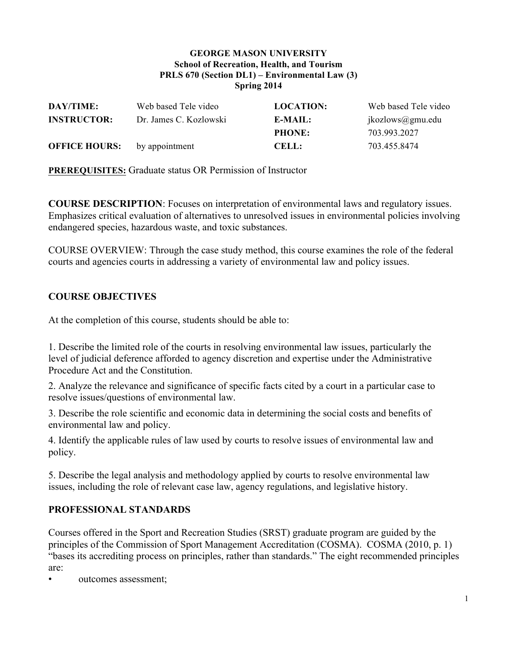#### **GEORGE MASON UNIVERSITY School of Recreation, Health, and Tourism PRLS 670 (Section DL1) – Environmental Law (3) Spring 2014**

| DAY/TIME:            | Web based Tele video   | <b>LOCATION:</b> | Web based Tele video |
|----------------------|------------------------|------------------|----------------------|
| <b>INSTRUCTOR:</b>   | Dr. James C. Kozlowski | E-MAIL:          | jkozlows@gmu.edu     |
|                      |                        | <b>PHONE:</b>    | 703.993.2027         |
| <b>OFFICE HOURS:</b> | by appointment         | <b>CELL:</b>     | 703.455.8474         |

**PREREQUISITES:** Graduate status OR Permission of Instructor

**COURSE DESCRIPTION**: Focuses on interpretation of environmental laws and regulatory issues. Emphasizes critical evaluation of alternatives to unresolved issues in environmental policies involving endangered species, hazardous waste, and toxic substances.

COURSE OVERVIEW: Through the case study method, this course examines the role of the federal courts and agencies courts in addressing a variety of environmental law and policy issues.

# **COURSE OBJECTIVES**

At the completion of this course, students should be able to:

1. Describe the limited role of the courts in resolving environmental law issues, particularly the level of judicial deference afforded to agency discretion and expertise under the Administrative Procedure Act and the Constitution.

2. Analyze the relevance and significance of specific facts cited by a court in a particular case to resolve issues/questions of environmental law.

3. Describe the role scientific and economic data in determining the social costs and benefits of environmental law and policy.

4. Identify the applicable rules of law used by courts to resolve issues of environmental law and policy.

5. Describe the legal analysis and methodology applied by courts to resolve environmental law issues, including the role of relevant case law, agency regulations, and legislative history.

#### **PROFESSIONAL STANDARDS**

Courses offered in the Sport and Recreation Studies (SRST) graduate program are guided by the principles of the Commission of Sport Management Accreditation (COSMA). COSMA (2010, p. 1) "bases its accrediting process on principles, rather than standards." The eight recommended principles are:

outcomes assessment;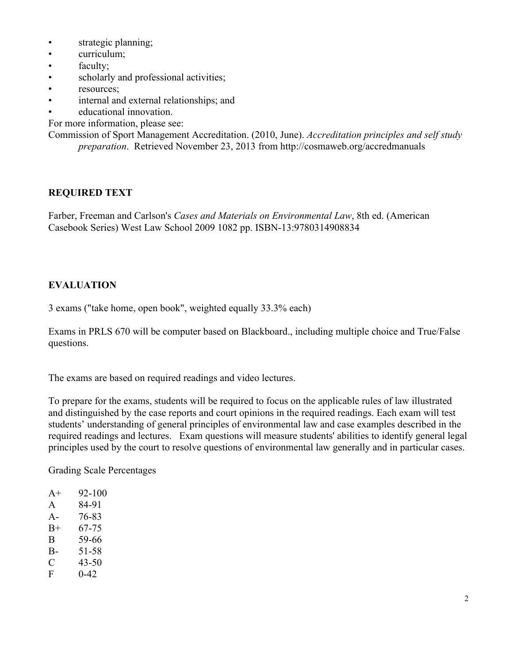- strategic planning;
- curriculum;
- faculty:
- scholarly and professional activities;
- resources;
- internal and external relationships; and
- educational innovation.

For more information, please see:

Commission of Sport Management Accreditation. (2010, June). *Accreditation principles and self study preparation*. Retrieved November 23, 2013 from http://cosmaweb.org/accredmanuals

# **REQUIRED TEXT**

Farber, Freeman and Carlson's *Cases and Materials on Environmental Law*, 8th ed. (American Casebook Series) West Law School 2009 1082 pp. ISBN-13:9780314908834

# **EVALUATION**

3 exams ("take home, open book", weighted equally 33.3% each)

Exams in PRLS 670 will be computer based on Blackboard., including multiple choice and True/False questions.

The exams are based on required readings and video lectures.

To prepare for the exams, students will be required to focus on the applicable rules of law illustrated and distinguished by the case reports and court opinions in the required readings. Each exam will test students' understanding of general principles of environmental law and case examples described in the required readings and lectures. Exam questions will measure students' abilities to identify general legal principles used by the court to resolve questions of environmental law generally and in particular cases.

Grading Scale Percentages

| $A+$  | 92-100   |
|-------|----------|
| A     | 84-91    |
| $A -$ | 76-83    |
| $B+$  | 67-75    |
| B     | 59-66    |
| B-    | 51-58    |
| C     | 43-50    |
| F     | $0 - 42$ |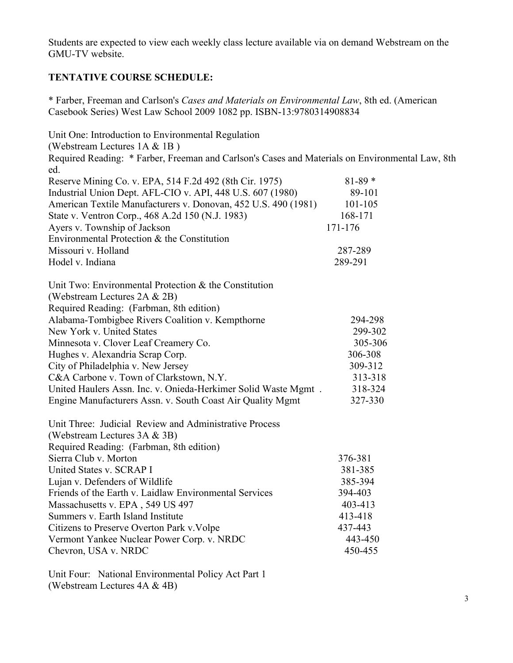Students are expected to view each weekly class lecture available via on demand Webstream on the GMU-TV website.

# **TENTATIVE COURSE SCHEDULE:**

\* Farber, Freeman and Carlson's *Cases and Materials on Environmental Law*, 8th ed. (American Casebook Series) West Law School 2009 1082 pp. ISBN-13:9780314908834

Unit One: Introduction to Environmental Regulation (Webstream Lectures 1A & 1B ) Required Reading: \* Farber, Freeman and Carlson's Cases and Materials on Environmental Law, 8th ed. Reserve Mining Co. v. EPA, 514 F.2d 492 (8th Cir. 1975) 81-89 \* Industrial Union Dept. AFL-CIO v. API, 448 U.S. 607 (1980) 89-101 American Textile Manufacturers v. Donovan, 452 U.S. 490 (1981) 101-105 State v. Ventron Corp., 468 A.2d 150 (N.J. 1983) 168-171 Ayers v. Township of Jackson 171-176 Environmental Protection & the Constitution Missouri v. Holland 287-289 Hodel v. Indiana 289-291 Unit Two: Environmental Protection & the Constitution (Webstream Lectures 2A & 2B) Required Reading: (Farbman, 8th edition) Alabama-Tombigbee Rivers Coalition v. Kempthorne 294-298 New York v. United States 299-302 Minnesota v. Clover Leaf Creamery Co. 305-306 Hughes v. Alexandria Scrap Corp. 306-308 City of Philadelphia v. New Jersey 309-312 C&A Carbone v. Town of Clarkstown, N.Y. 313-318 United Haulers Assn. Inc. v. Onieda-Herkimer Solid Waste Mgmt . 318-324 Engine Manufacturers Assn. v. South Coast Air Quality Mgmt 327-330 Unit Three: Judicial Review and Administrative Process (Webstream Lectures 3A & 3B) Required Reading: (Farbman, 8th edition) Sierra Club v. Morton 376-381 United States v. SCRAP I 381-385 Lujan v. Defenders of Wildlife 385-394 Friends of the Earth v. Laidlaw Environmental Services 394-403 Massachusetts v. EPA, 549 US 497 403-413 Summers v. Earth Island Institute 413-418 Citizens to Preserve Overton Park v.Volpe 437-443 Vermont Yankee Nuclear Power Corp. v. NRDC 443-450 Chevron, USA v. NRDC 450-455

Unit Four: National Environmental Policy Act Part 1 (Webstream Lectures 4A & 4B)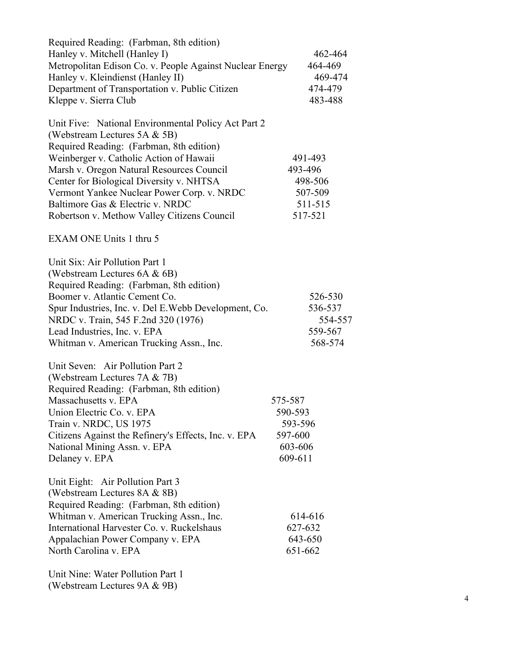| Required Reading: (Farbman, 8th edition)                 |         |
|----------------------------------------------------------|---------|
| Hanley v. Mitchell (Hanley I)                            | 462-464 |
| Metropolitan Edison Co. v. People Against Nuclear Energy | 464-469 |
| Hanley v. Kleindienst (Hanley II)                        | 469-474 |
| Department of Transportation v. Public Citizen           | 474-479 |
| Kleppe v. Sierra Club                                    | 483-488 |
|                                                          |         |
| Unit Five: National Environmental Policy Act Part 2      |         |
| (Webstream Lectures 5A & 5B)                             |         |
| Required Reading: (Farbman, 8th edition)                 |         |
|                                                          | 491-493 |
| Weinberger v. Catholic Action of Hawaii                  | 493-496 |
| Marsh v. Oregon Natural Resources Council                |         |
| Center for Biological Diversity v. NHTSA                 | 498-506 |
| Vermont Yankee Nuclear Power Corp. v. NRDC               | 507-509 |
| Baltimore Gas & Electric v. NRDC                         | 511-515 |
| Robertson v. Methow Valley Citizens Council              | 517-521 |
|                                                          |         |
| EXAM ONE Units 1 thru 5                                  |         |
| Unit Six: Air Pollution Part 1                           |         |
| (Webstream Lectures 6A & 6B)                             |         |
| Required Reading: (Farbman, 8th edition)                 |         |
| Boomer v. Atlantic Cement Co.                            |         |
|                                                          | 526-530 |
| Spur Industries, Inc. v. Del E. Webb Development, Co.    | 536-537 |
| NRDC v. Train, 545 F.2nd 320 (1976)                      | 554-557 |
| Lead Industries, Inc. v. EPA                             | 559-567 |
| Whitman v. American Trucking Assn., Inc.                 | 568-574 |
| Unit Seven: Air Pollution Part 2                         |         |
| (Webstream Lectures 7A & 7B)                             |         |
| Required Reading: (Farbman, 8th edition)                 |         |
| Massachusetts v. EPA                                     | 575-587 |
| Union Electric Co. v. EPA                                | 590-593 |
| Train v. NRDC, US 1975                                   | 593-596 |
| Citizens Against the Refinery's Effects, Inc. v. EPA     | 597-600 |
|                                                          |         |
| National Mining Assn. v. EPA                             | 603-606 |
| Delaney v. EPA                                           | 609-611 |
| Unit Eight: Air Pollution Part 3                         |         |
| (Webstream Lectures 8A & 8B)                             |         |
| Required Reading: (Farbman, 8th edition)                 |         |
| Whitman v. American Trucking Assn., Inc.                 | 614-616 |
| International Harvester Co. v. Ruckelshaus               | 627-632 |
| Appalachian Power Company v. EPA                         | 643-650 |
| North Carolina v. EPA                                    | 651-662 |
|                                                          |         |
| Unit Nine: Water Pollution Part 1                        |         |
| $+$ $  0$ $\uparrow$ $0$ $ 0$ $\uparrow$ $0$             |         |

(Webstream Lectures 9A & 9B)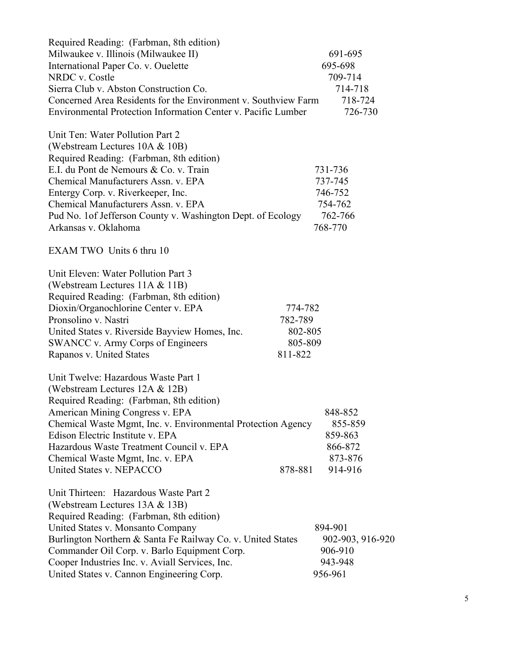| Required Reading: (Farbman, 8th edition)                       |         |                  |
|----------------------------------------------------------------|---------|------------------|
| Milwaukee v. Illinois (Milwaukee II)                           |         | 691-695          |
| International Paper Co. v. Ouelette                            |         | 695-698          |
| NRDC v. Costle                                                 |         | 709-714          |
| Sierra Club v. Abston Construction Co.                         |         | 714-718          |
| Concerned Area Residents for the Environment v. Southview Farm |         | 718-724          |
| Environmental Protection Information Center v. Pacific Lumber  |         | 726-730          |
| Unit Ten: Water Pollution Part 2                               |         |                  |
| (Webstream Lectures 10A & 10B)                                 |         |                  |
| Required Reading: (Farbman, 8th edition)                       |         |                  |
| E.I. du Pont de Nemours & Co. v. Train                         | 731-736 |                  |
| Chemical Manufacturers Assn. v. EPA                            | 737-745 |                  |
| Entergy Corp. v. Riverkeeper, Inc.                             | 746-752 |                  |
| Chemical Manufacturers Assn. v. EPA                            |         | 754-762          |
| Pud No. 1 of Jefferson County v. Washington Dept. of Ecology   |         | 762-766          |
| Arkansas v. Oklahoma                                           | 768-770 |                  |
| EXAM TWO Units 6 thru 10                                       |         |                  |
| Unit Eleven: Water Pollution Part 3                            |         |                  |
| (Webstream Lectures 11A & 11B)                                 |         |                  |
| Required Reading: (Farbman, 8th edition)                       |         |                  |
| Dioxin/Organochlorine Center v. EPA                            | 774-782 |                  |
| Pronsolino v. Nastri                                           | 782-789 |                  |
| United States v. Riverside Bayview Homes, Inc.                 | 802-805 |                  |
| SWANCC v. Army Corps of Engineers                              | 805-809 |                  |
| Rapanos v. United States                                       | 811-822 |                  |
| Unit Twelve: Hazardous Waste Part 1                            |         |                  |
| (Webstream Lectures 12A & 12B)                                 |         |                  |
| Required Reading: (Farbman, 8th edition)                       |         |                  |
| American Mining Congress v. EPA                                |         | 848-852          |
| Chemical Waste Mgmt, Inc. v. Environmental Protection Agency   |         | 855-859          |
| Edison Electric Institute v. EPA                               |         | 859-863          |
| Hazardous Waste Treatment Council v. EPA                       |         | 866-872          |
| Chemical Waste Mgmt, Inc. v. EPA                               |         | 873-876          |
| United States v. NEPACCO                                       | 878-881 | 914-916          |
| Unit Thirteen: Hazardous Waste Part 2                          |         |                  |
| (Webstream Lectures 13A & 13B)                                 |         |                  |
| Required Reading: (Farbman, 8th edition)                       |         |                  |
| United States v. Monsanto Company                              | 894-901 |                  |
| Burlington Northern & Santa Fe Railway Co. v. United States    |         | 902-903, 916-920 |
| Commander Oil Corp. v. Barlo Equipment Corp.                   |         | 906-910          |
| Cooper Industries Inc. v. Aviall Services, Inc.                |         | 943-948          |
| United States v. Cannon Engineering Corp.                      | 956-961 |                  |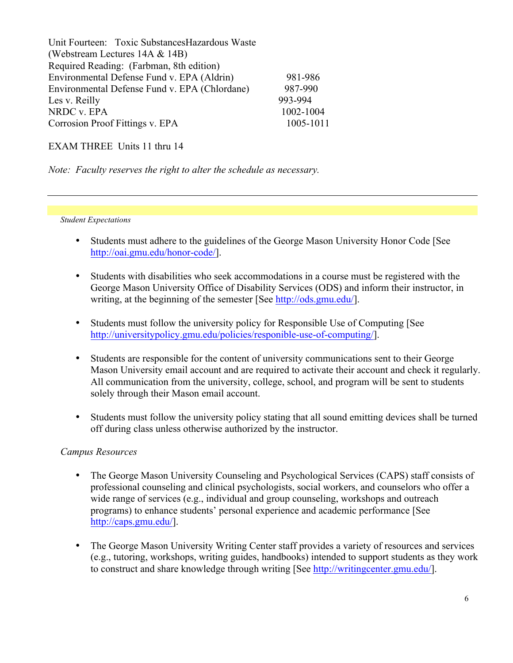| Unit Fourteen: Toxic Substances Hazardous Waste |           |  |  |  |
|-------------------------------------------------|-----------|--|--|--|
| (Webstream Lectures 14A & 14B)                  |           |  |  |  |
| Required Reading: (Farbman, 8th edition)        |           |  |  |  |
| Environmental Defense Fund v. EPA (Aldrin)      | 981-986   |  |  |  |
| Environmental Defense Fund v. EPA (Chlordane)   | 987-990   |  |  |  |
| Les v. Reilly                                   | 993-994   |  |  |  |
| NRDC v. EPA                                     | 1002-1004 |  |  |  |
| Corrosion Proof Fittings v. EPA                 | 1005-1011 |  |  |  |

EXAM THREE Units 11 thru 14

*Note: Faculty reserves the right to alter the schedule as necessary.*

*Student Expectations*

- Students must adhere to the guidelines of the George Mason University Honor Code [See http://oai.gmu.edu/honor-code/].
- Students with disabilities who seek accommodations in a course must be registered with the George Mason University Office of Disability Services (ODS) and inform their instructor, in writing, at the beginning of the semester [See http://ods.gmu.edu/].
- Students must follow the university policy for Responsible Use of Computing [See http://universitypolicy.gmu.edu/policies/responible-use-of-computing/].
- Students are responsible for the content of university communications sent to their George Mason University email account and are required to activate their account and check it regularly. All communication from the university, college, school, and program will be sent to students solely through their Mason email account.
- Students must follow the university policy stating that all sound emitting devices shall be turned off during class unless otherwise authorized by the instructor.

#### *Campus Resources*

- The George Mason University Counseling and Psychological Services (CAPS) staff consists of professional counseling and clinical psychologists, social workers, and counselors who offer a wide range of services (e.g., individual and group counseling, workshops and outreach programs) to enhance students' personal experience and academic performance [See http://caps.gmu.edu/].
- The George Mason University Writing Center staff provides a variety of resources and services (e.g., tutoring, workshops, writing guides, handbooks) intended to support students as they work to construct and share knowledge through writing [See http://writingcenter.gmu.edu/].